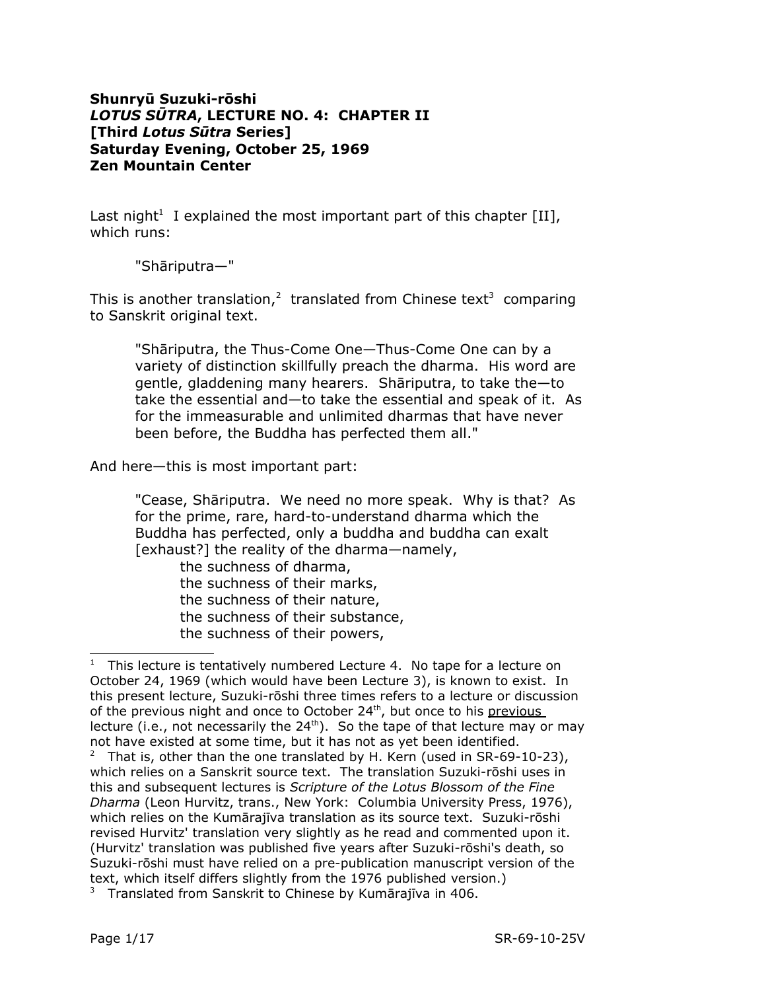## **Shunryū Suzuki-rōshi** *LOTUS SŪTRA***, LECTURE NO. 4: CHAPTER II [Third** *Lotus Sūtra* **Series] Saturday Evening, October 25, 1969 Zen Mountain Center**

Last night<sup>[1](#page-0-0)</sup> I explained the most important part of this chapter [II], which runs:

"Shāriputra—"

This is another translation,<sup>[2](#page-0-1)</sup> translated from Chinese text<sup>[3](#page-0-2)</sup> comparing to Sanskrit original text.

"Shāriputra, the Thus-Come One—Thus-Come One can by a variety of distinction skillfully preach the dharma. His word are gentle, gladdening many hearers. Shāriputra, to take the—to take the essential and—to take the essential and speak of it. As for the immeasurable and unlimited dharmas that have never been before, the Buddha has perfected them all."

And here—this is most important part:

"Cease, Shāriputra. We need no more speak. Why is that? As for the prime, rare, hard-to-understand dharma which the Buddha has perfected, only a buddha and buddha can exalt [exhaust?] the reality of the dharma—namely,

the suchness of dharma, the suchness of their marks, the suchness of their nature, the suchness of their substance, the suchness of their powers,

<span id="page-0-0"></span> $1$  This lecture is tentatively numbered Lecture 4. No tape for a lecture on October 24, 1969 (which would have been Lecture 3), is known to exist. In this present lecture, Suzuki-rōshi three times refers to a lecture or discussion of the previous night and once to October 24<sup>th</sup>, but once to his previous lecture (i.e., not necessarily the 24<sup>th</sup>). So the tape of that lecture may or may not have existed at some time, but it has not as yet been identified.

<span id="page-0-1"></span><sup>&</sup>lt;sup>2</sup> That is, other than the one translated by H. Kern (used in SR-69-10-23), which relies on a Sanskrit source text. The translation Suzuki-rōshi uses in this and subsequent lectures is *Scripture of the Lotus Blossom of the Fine Dharma* (Leon Hurvitz, trans., New York: Columbia University Press, 1976), which relies on the Kumārajīva translation as its source text. Suzuki-rōshi revised Hurvitz' translation very slightly as he read and commented upon it. (Hurvitz' translation was published five years after Suzuki-rōshi's death, so Suzuki-rōshi must have relied on a pre-publication manuscript version of the text, which itself differs slightly from the 1976 published version.)

<span id="page-0-2"></span> $3$  Translated from Sanskrit to Chinese by Kumārajīva in 406.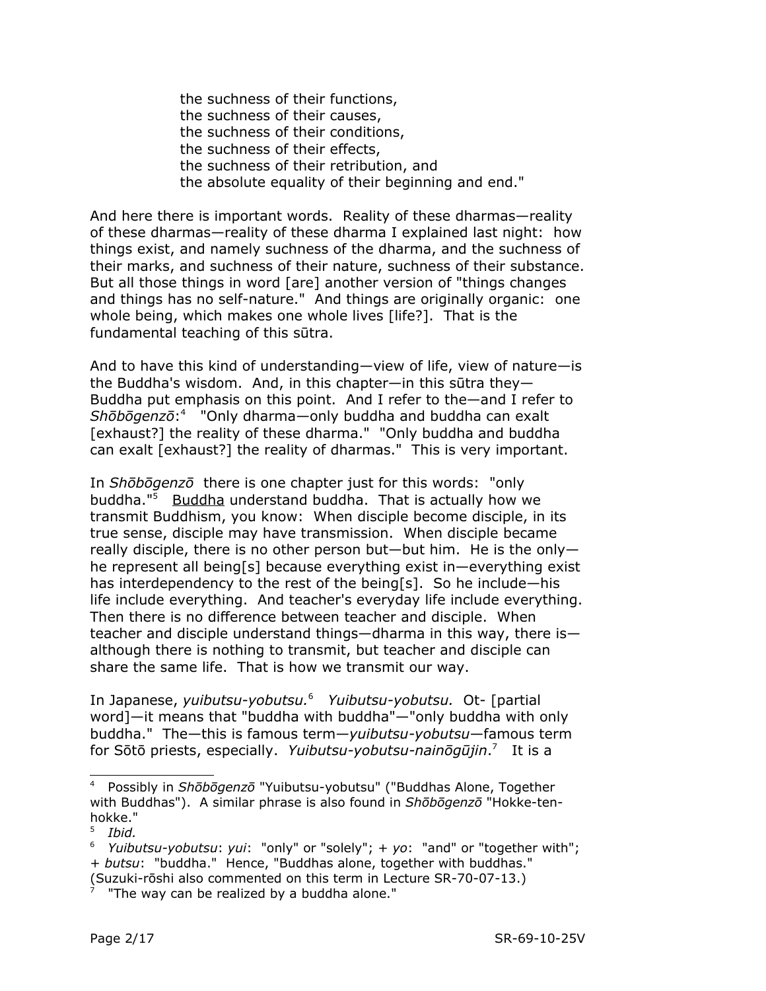the suchness of their functions, the suchness of their causes, the suchness of their conditions, the suchness of their effects, the suchness of their retribution, and the absolute equality of their beginning and end."

And here there is important words. Reality of these dharmas—reality of these dharmas—reality of these dharma I explained last night: how things exist, and namely suchness of the dharma, and the suchness of their marks, and suchness of their nature, suchness of their substance. But all those things in word [are] another version of "things changes and things has no self-nature." And things are originally organic: one whole being, which makes one whole lives [life?]. That is the fundamental teaching of this sūtra.

And to have this kind of understanding—view of life, view of nature—is the Buddha's wisdom. And, in this chapter—in this sūtra they— Buddha put emphasis on this point. And I refer to the—and I refer to *Shōbōgenzō*: [4](#page-1-0) "Only dharma—only buddha and buddha can exalt [exhaust?] the reality of these dharma." "Only buddha and buddha can exalt [exhaust?] the reality of dharmas." This is very important.

In *Shōbōgenzō* there is one chapter just for this words: "only buddha."[5](#page-1-1) Buddha understand buddha. That is actually how we transmit Buddhism, you know: When disciple become disciple, in its true sense, disciple may have transmission. When disciple became really disciple, there is no other person but—but him. He is the only he represent all being[s] because everything exist in—everything exist has interdependency to the rest of the being[s]. So he include—his life include everything. And teacher's everyday life include everything. Then there is no difference between teacher and disciple. When teacher and disciple understand things—dharma in this way, there is although there is nothing to transmit, but teacher and disciple can share the same life. That is how we transmit our way.

In Japanese, *yuibutsu-yobutsu.* [6](#page-1-2) *Yuibutsu-yobutsu.* Ot- [partial word]—it means that "buddha with buddha"—"only buddha with only buddha." The—this is famous term—*yuibutsu-yobutsu*—famous term for Sōtō priests, especially. *Yuibutsu-yobutsu-nainōgūjin*. [7](#page-1-3) It is a

<span id="page-1-0"></span><sup>4</sup> Possibly in *Shōbōgenzō* "Yuibutsu-yobutsu" ("Buddhas Alone, Together with Buddhas"). A similar phrase is also found in *Shōbōgenzō* "Hokke-tenhokke."

<span id="page-1-1"></span><sup>5</sup> *Ibid.*

<span id="page-1-2"></span><sup>6</sup> *Yuibutsu-yobutsu*: *yui*: "only" or "solely"; + *yo*: "and" or "together with"; + *butsu*: "buddha." Hence, "Buddhas alone, together with buddhas." (Suzuki-rōshi also commented on this term in Lecture SR-70-07-13.)

<span id="page-1-3"></span><sup>7</sup> "The way can be realized by a buddha alone."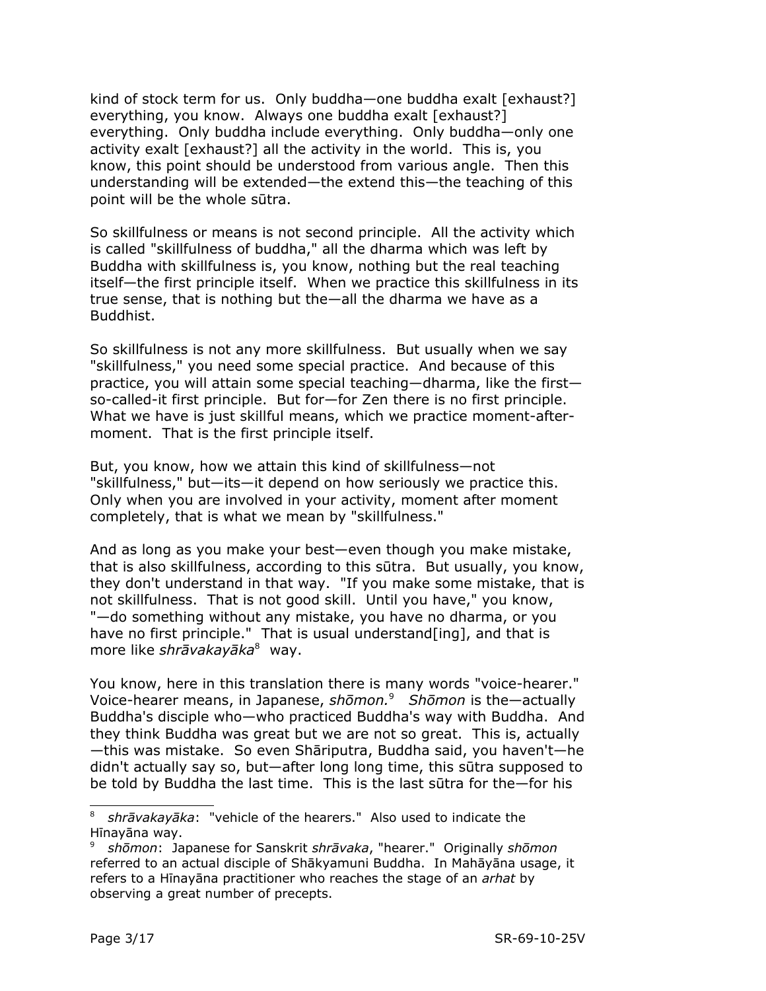kind of stock term for us. Only buddha—one buddha exalt [exhaust?] everything, you know. Always one buddha exalt [exhaust?] everything. Only buddha include everything. Only buddha—only one activity exalt [exhaust?] all the activity in the world. This is, you know, this point should be understood from various angle. Then this understanding will be extended—the extend this—the teaching of this point will be the whole sūtra.

So skillfulness or means is not second principle. All the activity which is called "skillfulness of buddha," all the dharma which was left by Buddha with skillfulness is, you know, nothing but the real teaching itself—the first principle itself. When we practice this skillfulness in its true sense, that is nothing but the—all the dharma we have as a Buddhist.

So skillfulness is not any more skillfulness. But usually when we say "skillfulness," you need some special practice. And because of this practice, you will attain some special teaching—dharma, like the first so-called-it first principle. But for—for Zen there is no first principle. What we have is just skillful means, which we practice moment-aftermoment. That is the first principle itself.

But, you know, how we attain this kind of skillfulness—not "skillfulness," but—its—it depend on how seriously we practice this. Only when you are involved in your activity, moment after moment completely, that is what we mean by "skillfulness."

And as long as you make your best—even though you make mistake, that is also skillfulness, according to this sūtra. But usually, you know, they don't understand in that way. "If you make some mistake, that is not skillfulness. That is not good skill. Until you have," you know, "—do something without any mistake, you have no dharma, or you have no first principle." That is usual understand[ing], and that is more like *shrāvakayāka* [8](#page-2-0) way.

You know, here in this translation there is many words "voice-hearer." Voice-hearer means, in Japanese, *shōmon.* [9](#page-2-1) *Shōmon* is the—actually Buddha's disciple who—who practiced Buddha's way with Buddha. And they think Buddha was great but we are not so great. This is, actually —this was mistake. So even Shāriputra, Buddha said, you haven't—he didn't actually say so, but—after long long time, this sūtra supposed to be told by Buddha the last time. This is the last sūtra for the—for his

<span id="page-2-0"></span><sup>8</sup> *shrāvakayāka*: "vehicle of the hearers." Also used to indicate the Hīnayāna way.

<span id="page-2-1"></span><sup>9</sup> *shōmon*: Japanese for Sanskrit *shrāvaka*, "hearer." Originally *shōmon* referred to an actual disciple of Shākyamuni Buddha. In Mahāyāna usage, it refers to a Hīnayāna practitioner who reaches the stage of an *arhat* by observing a great number of precepts.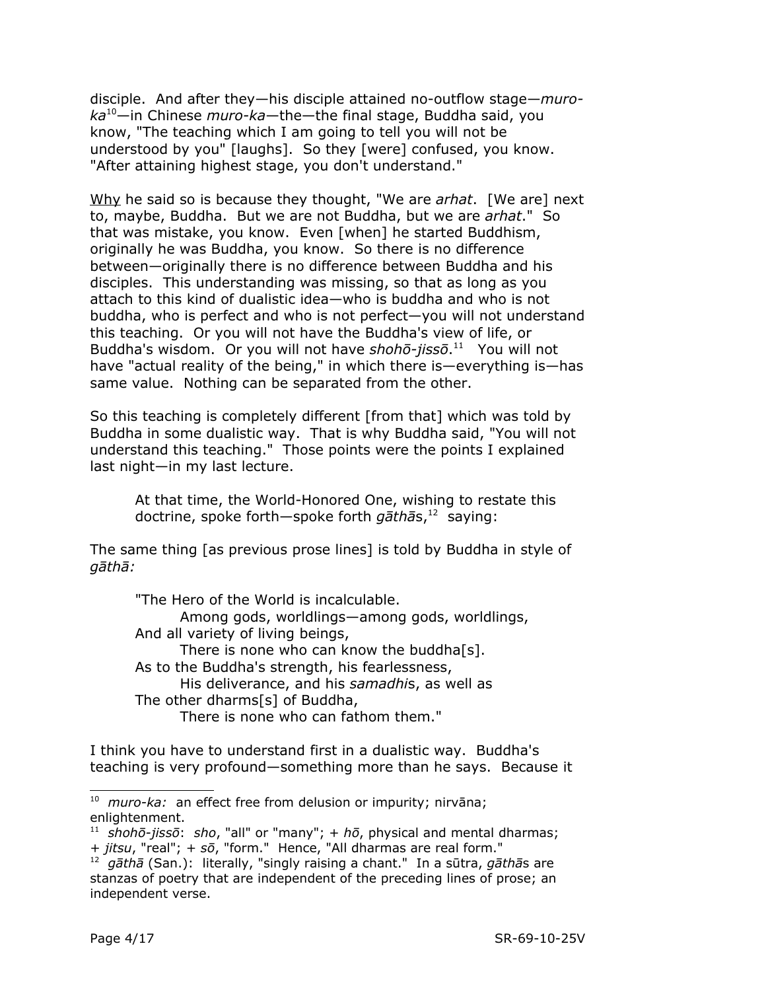disciple. And after they—his disciple attained no-outflow stage—*muroka* [10](#page-3-0)—in Chinese *muro-ka*—the—the final stage, Buddha said, you know, "The teaching which I am going to tell you will not be understood by you" [laughs]. So they [were] confused, you know. "After attaining highest stage, you don't understand."

Why he said so is because they thought, "We are *arhat*. [We are] next to, maybe, Buddha. But we are not Buddha, but we are *arhat*." So that was mistake, you know. Even [when] he started Buddhism, originally he was Buddha, you know. So there is no difference between—originally there is no difference between Buddha and his disciples. This understanding was missing, so that as long as you attach to this kind of dualistic idea—who is buddha and who is not buddha, who is perfect and who is not perfect—you will not understand this teaching. Or you will not have the Buddha's view of life, or Buddha's wisdom. Or you will not have shohō-jissō.<sup>[11](#page-3-1)</sup> You will not have "actual reality of the being," in which there is—everything is—has same value. Nothing can be separated from the other.

So this teaching is completely different [from that] which was told by Buddha in some dualistic way. That is why Buddha said, "You will not understand this teaching." Those points were the points I explained last night—in my last lecture.

At that time, the World-Honored One, wishing to restate this doctrine, spoke forth—spoke forth *gāthā*s, [12](#page-3-2) saying:

The same thing [as previous prose lines] is told by Buddha in style of *gāthā:*

"The Hero of the World is incalculable. Among gods, worldlings—among gods, worldlings, And all variety of living beings, There is none who can know the buddha[s]. As to the Buddha's strength, his fearlessness, His deliverance, and his *samadhi*s, as well as The other dharms[s] of Buddha, There is none who can fathom them."

I think you have to understand first in a dualistic way. Buddha's teaching is very profound—something more than he says. Because it

<span id="page-3-0"></span><sup>10</sup> *muro-ka:* an effect free from delusion or impurity; nirvāna; enlightenment.

<span id="page-3-1"></span><sup>11</sup> *shohō-jissō*: *sho*, "all" or "many"; + *hō*, physical and mental dharmas; + *jitsu*, "real"; + *sō*, "form." Hence, "All dharmas are real form."

<span id="page-3-2"></span><sup>12</sup> *gāthā* (San.): literally, "singly raising a chant." In a sūtra, *gāthā*s are stanzas of poetry that are independent of the preceding lines of prose; an independent verse.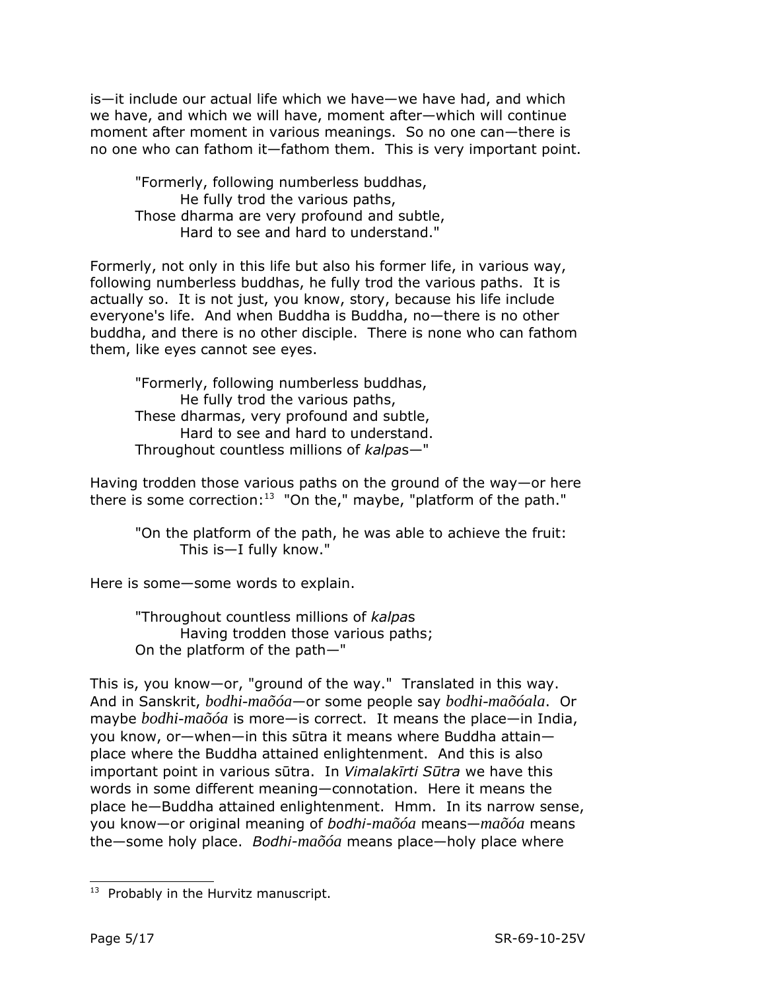is—it include our actual life which we have—we have had, and which we have, and which we will have, moment after—which will continue moment after moment in various meanings. So no one can—there is no one who can fathom it—fathom them. This is very important point.

"Formerly, following numberless buddhas, He fully trod the various paths, Those dharma are very profound and subtle, Hard to see and hard to understand."

Formerly, not only in this life but also his former life, in various way, following numberless buddhas, he fully trod the various paths. It is actually so. It is not just, you know, story, because his life include everyone's life. And when Buddha is Buddha, no—there is no other buddha, and there is no other disciple. There is none who can fathom them, like eyes cannot see eyes.

"Formerly, following numberless buddhas, He fully trod the various paths, These dharmas, very profound and subtle, Hard to see and hard to understand. Throughout countless millions of *kalpa*s—"

Having trodden those various paths on the ground of the way—or here there is some correction:<sup>[13](#page-4-0)</sup> "On the," maybe, "platform of the path."

"On the platform of the path, he was able to achieve the fruit: This is—I fully know."

Here is some—some words to explain.

"Throughout countless millions of *kalpa*s Having trodden those various paths; On the platform of the path—"

This is, you know—or, "ground of the way." Translated in this way. And in Sanskrit, *bodhi-maõóa*—or some people say *bodhi-maõóala*. Or maybe *bodhi-maõóa* is more—is correct. It means the place—in India, you know, or—when—in this sūtra it means where Buddha attain place where the Buddha attained enlightenment. And this is also important point in various sūtra. In *Vimalakīrti Sūtra* we have this words in some different meaning—connotation. Here it means the place he—Buddha attained enlightenment. Hmm. In its narrow sense, you know—or original meaning of *bodhi-maõóa* means—*maõóa* means the—some holy place. *Bodhi-maõóa* means place—holy place where

<span id="page-4-0"></span><sup>&</sup>lt;sup>13</sup> Probably in the Hurvitz manuscript.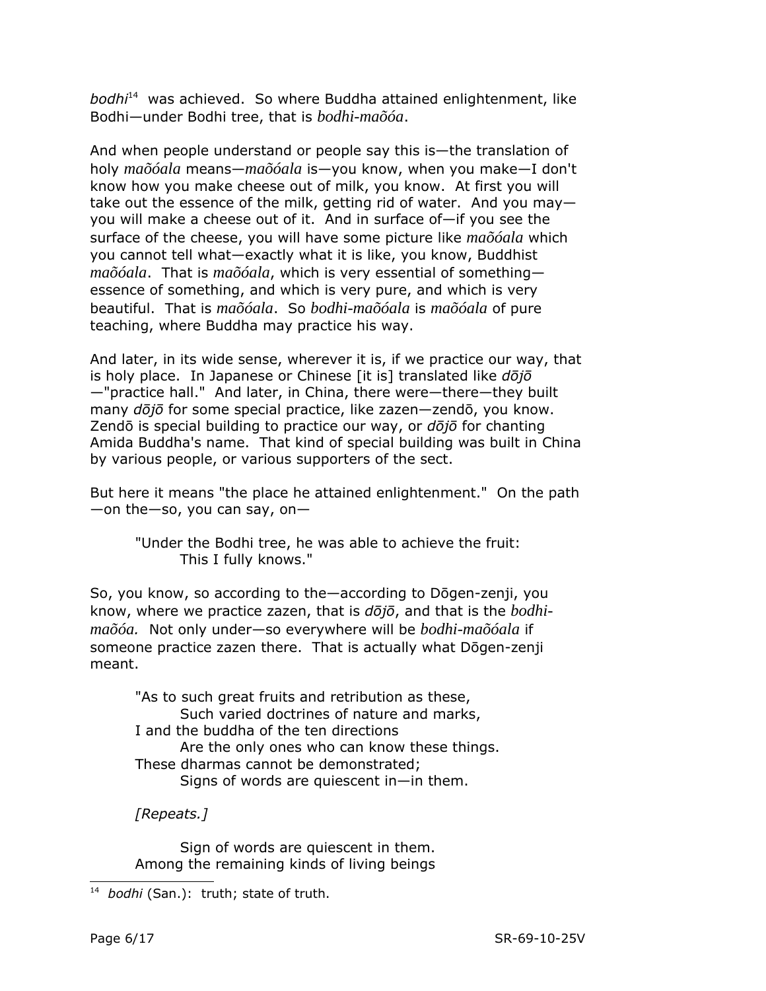*bodhi* [14](#page-5-0) was achieved. So where Buddha attained enlightenment, like Bodhi—under Bodhi tree, that is *bodhi-maõóa*.

And when people understand or people say this is—the translation of holy *maõóala* means—*maõóala* is—you know, when you make—I don't know how you make cheese out of milk, you know. At first you will take out the essence of the milk, getting rid of water. And you may you will make a cheese out of it. And in surface of—if you see the surface of the cheese, you will have some picture like *maõóala* which you cannot tell what—exactly what it is like, you know, Buddhist *maõóala*. That is *maõóala*, which is very essential of something essence of something, and which is very pure, and which is very beautiful. That is *maõóala*. So *bodhi-maõóala* is *maõóala* of pure teaching, where Buddha may practice his way.

And later, in its wide sense, wherever it is, if we practice our way, that is holy place. In Japanese or Chinese [it is] translated like *dōjō* —"practice hall." And later, in China, there were—there—they built many *dōjō* for some special practice, like zazen—zendō, you know. Zendō is special building to practice our way, or *dōjō* for chanting Amida Buddha's name. That kind of special building was built in China by various people, or various supporters of the sect.

But here it means "the place he attained enlightenment." On the path —on the—so, you can say, on—

"Under the Bodhi tree, he was able to achieve the fruit: This I fully knows."

So, you know, so according to the—according to Dōgen-zenji, you know, where we practice zazen, that is *dōjō*, and that is the *bodhimaõóa.* Not only under—so everywhere will be *bodhi-maõóala* if someone practice zazen there. That is actually what Dōgen-zenji meant.

"As to such great fruits and retribution as these, Such varied doctrines of nature and marks, I and the buddha of the ten directions Are the only ones who can know these things. These dharmas cannot be demonstrated; Signs of words are quiescent in—in them.

*[Repeats.]*

Sign of words are quiescent in them. Among the remaining kinds of living beings

<span id="page-5-0"></span><sup>14</sup> *bodhi* (San.): truth; state of truth.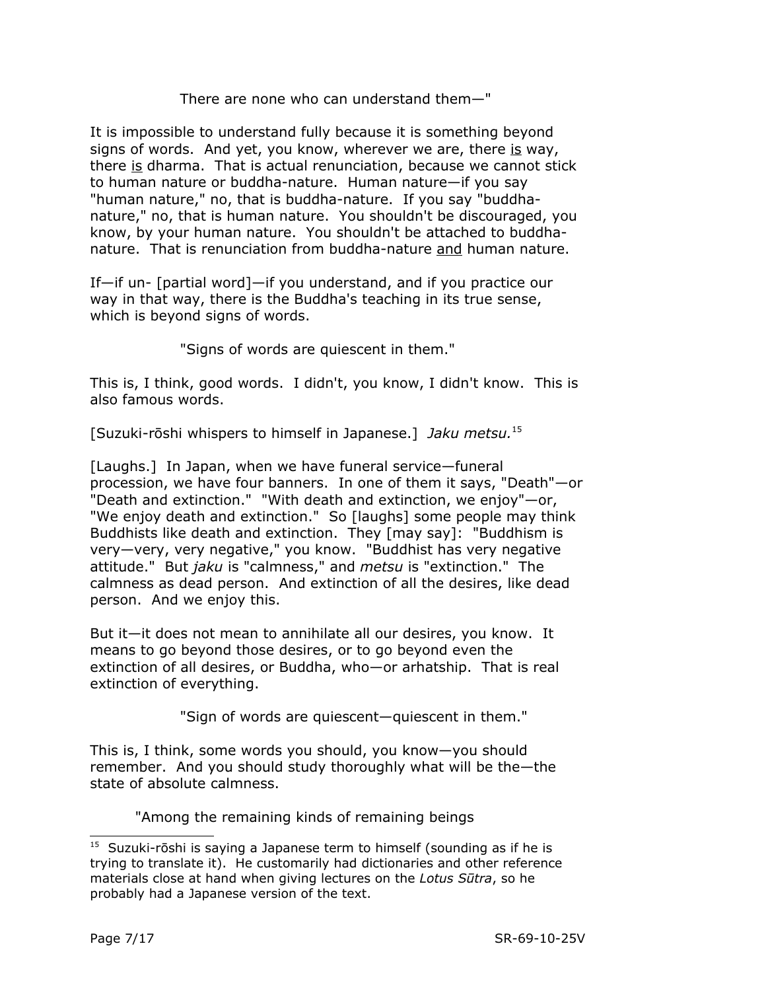## There are none who can understand them—"

It is impossible to understand fully because it is something beyond signs of words. And yet, you know, wherever we are, there is way, there is dharma. That is actual renunciation, because we cannot stick to human nature or buddha-nature. Human nature—if you say "human nature," no, that is buddha-nature. If you say "buddhanature," no, that is human nature. You shouldn't be discouraged, you know, by your human nature. You shouldn't be attached to buddhanature. That is renunciation from buddha-nature and human nature.

If—if un- [partial word]—if you understand, and if you practice our way in that way, there is the Buddha's teaching in its true sense, which is beyond signs of words.

"Signs of words are quiescent in them."

This is, I think, good words. I didn't, you know, I didn't know. This is also famous words.

[Suzuki-rōshi whispers to himself in Japanese.] *Jaku metsu.* [15](#page-6-0)

[Laughs.] In Japan, when we have funeral service—funeral procession, we have four banners. In one of them it says, "Death"—or "Death and extinction." "With death and extinction, we enjoy"—or, "We enjoy death and extinction." So [laughs] some people may think Buddhists like death and extinction. They [may say]: "Buddhism is very—very, very negative," you know. "Buddhist has very negative attitude." But *jaku* is "calmness," and *metsu* is "extinction." The calmness as dead person. And extinction of all the desires, like dead person. And we enjoy this.

But it—it does not mean to annihilate all our desires, you know. It means to go beyond those desires, or to go beyond even the extinction of all desires, or Buddha, who—or arhatship. That is real extinction of everything.

"Sign of words are quiescent—quiescent in them."

This is, I think, some words you should, you know—you should remember. And you should study thoroughly what will be the—the state of absolute calmness.

"Among the remaining kinds of remaining beings

<span id="page-6-0"></span> $15$  Suzuki-rōshi is saying a Japanese term to himself (sounding as if he is trying to translate it). He customarily had dictionaries and other reference materials close at hand when giving lectures on the *Lotus Sūtra*, so he probably had a Japanese version of the text.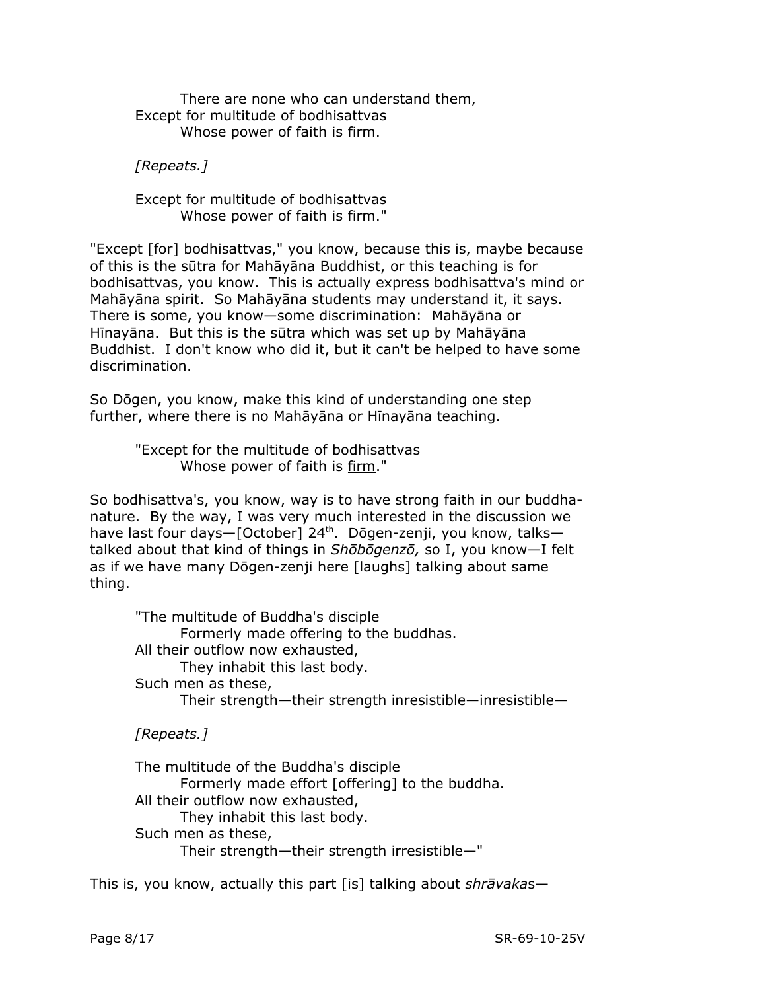There are none who can understand them, Except for multitude of bodhisattvas Whose power of faith is firm.

*[Repeats.]*

Except for multitude of bodhisattvas Whose power of faith is firm."

"Except [for] bodhisattvas," you know, because this is, maybe because of this is the sūtra for Mahāyāna Buddhist, or this teaching is for bodhisattvas, you know. This is actually express bodhisattva's mind or Mahāyāna spirit. So Mahāyāna students may understand it, it says. There is some, you know—some discrimination: Mahāyāna or Hīnayāna. But this is the sūtra which was set up by Mahāyāna Buddhist. I don't know who did it, but it can't be helped to have some discrimination.

So Dōgen, you know, make this kind of understanding one step further, where there is no Mahāyāna or Hīnayāna teaching.

> "Except for the multitude of bodhisattvas Whose power of faith is firm."

So bodhisattva's, you know, way is to have strong faith in our buddhanature. By the way, I was very much interested in the discussion we have last four days—[October] 24<sup>th</sup>. Dōgen-zenji, you know, talks talked about that kind of things in *Shōbōgenzō,* so I, you know—I felt as if we have many Dōgen-zenji here [laughs] talking about same thing.

"The multitude of Buddha's disciple Formerly made offering to the buddhas. All their outflow now exhausted, They inhabit this last body. Such men as these, Their strength—their strength inresistible—inresistible—

*[Repeats.]*

The multitude of the Buddha's disciple Formerly made effort [offering] to the buddha. All their outflow now exhausted, They inhabit this last body. Such men as these, Their strength—their strength irresistible—"

This is, you know, actually this part [is] talking about *shrāvaka*s—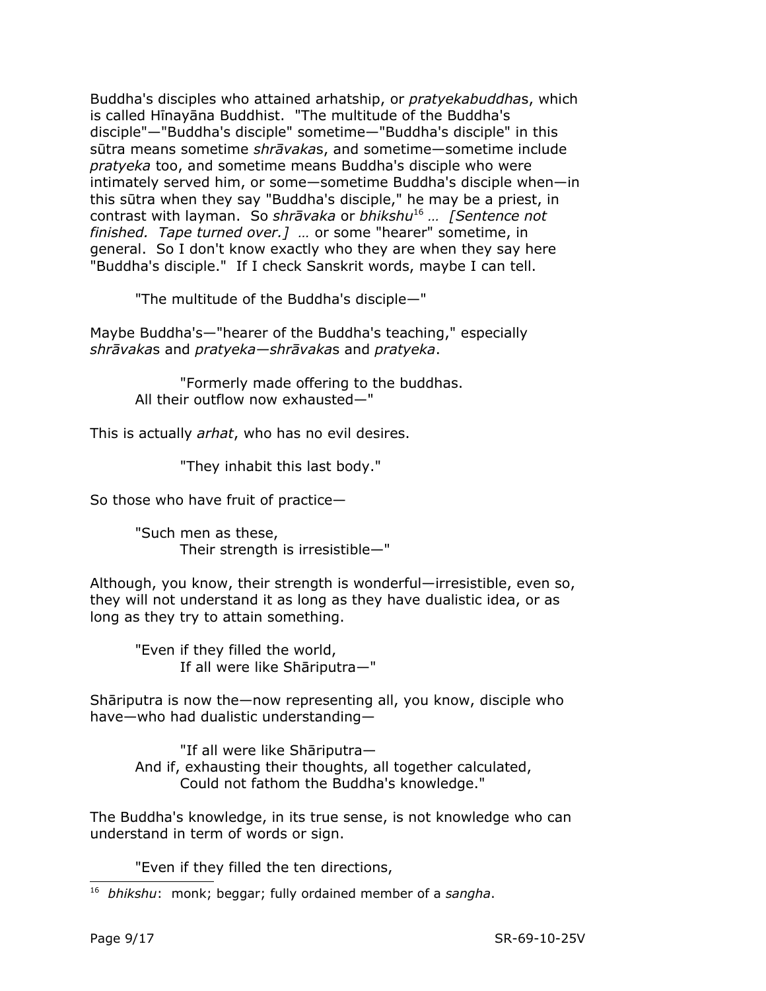Buddha's disciples who attained arhatship, or *pratyekabuddha*s, which is called Hīnayāna Buddhist. "The multitude of the Buddha's disciple"—"Buddha's disciple" sometime—"Buddha's disciple" in this sūtra means sometime *shrāvaka*s, and sometime—sometime include *pratyeka* too, and sometime means Buddha's disciple who were intimately served him, or some—sometime Buddha's disciple when—in this sūtra when they say "Buddha's disciple," he may be a priest, in contrast with layman. So *shrāvaka* or *bhikshu* [16](#page-8-0) *… [Sentence not finished. Tape turned over.] …* or some "hearer" sometime, in general. So I don't know exactly who they are when they say here "Buddha's disciple." If I check Sanskrit words, maybe I can tell.

"The multitude of the Buddha's disciple—"

Maybe Buddha's—"hearer of the Buddha's teaching," especially *shrāvaka*s and *pratyeka—shrāvaka*s and *pratyeka*.

> "Formerly made offering to the buddhas. All their outflow now exhausted—"

This is actually *arhat*, who has no evil desires.

"They inhabit this last body."

So those who have fruit of practice—

"Such men as these, Their strength is irresistible—"

Although, you know, their strength is wonderful—irresistible, even so, they will not understand it as long as they have dualistic idea, or as long as they try to attain something.

"Even if they filled the world, If all were like Shāriputra—"

Shāriputra is now the—now representing all, you know, disciple who have—who had dualistic understanding—

"If all were like Shāriputra— And if, exhausting their thoughts, all together calculated, Could not fathom the Buddha's knowledge."

The Buddha's knowledge, in its true sense, is not knowledge who can understand in term of words or sign.

"Even if they filled the ten directions,

<span id="page-8-0"></span><sup>16</sup> *bhikshu*: monk; beggar; fully ordained member of a *sangha*.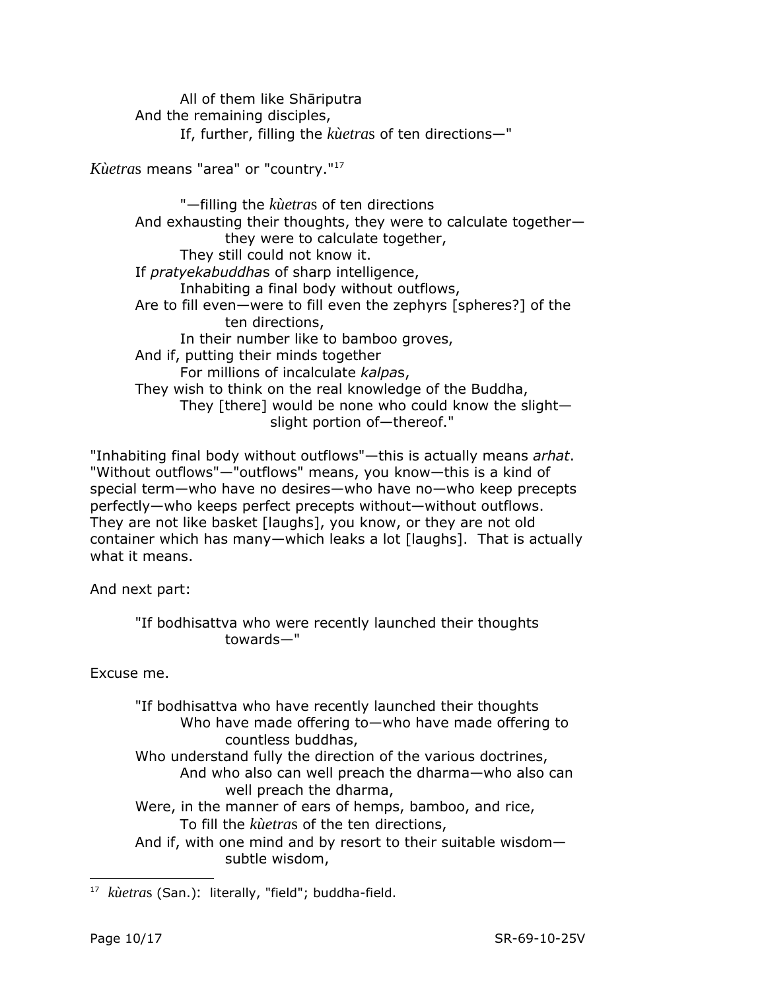All of them like Shāriputra And the remaining disciples, If, further, filling the *kùetra*s of ten directions—"

*Kùetra*s means "area" or "country."[17](#page-9-0)

"—filling the *kùetra*s of ten directions And exhausting their thoughts, they were to calculate together they were to calculate together, They still could not know it. If *pratyekabuddha*s of sharp intelligence, Inhabiting a final body without outflows, Are to fill even—were to fill even the zephyrs [spheres?] of the ten directions, In their number like to bamboo groves, And if, putting their minds together For millions of incalculate *kalpa*s, They wish to think on the real knowledge of the Buddha, They [there] would be none who could know the slight slight portion of—thereof."

"Inhabiting final body without outflows"—this is actually means *arhat*. "Without outflows"—"outflows" means, you know—this is a kind of special term—who have no desires—who have no—who keep precepts perfectly—who keeps perfect precepts without—without outflows. They are not like basket [laughs], you know, or they are not old container which has many—which leaks a lot [laughs]. That is actually what it means.

And next part:

# "If bodhisattva who were recently launched their thoughts towards—"

Excuse me.

"If bodhisattva who have recently launched their thoughts Who have made offering to—who have made offering to countless buddhas, Who understand fully the direction of the various doctrines, And who also can well preach the dharma—who also can well preach the dharma, Were, in the manner of ears of hemps, bamboo, and rice, To fill the *kùetra*s of the ten directions, And if, with one mind and by resort to their suitable wisdom subtle wisdom,

<span id="page-9-0"></span><sup>17</sup> *kùetra*s (San.): literally, "field"; buddha-field.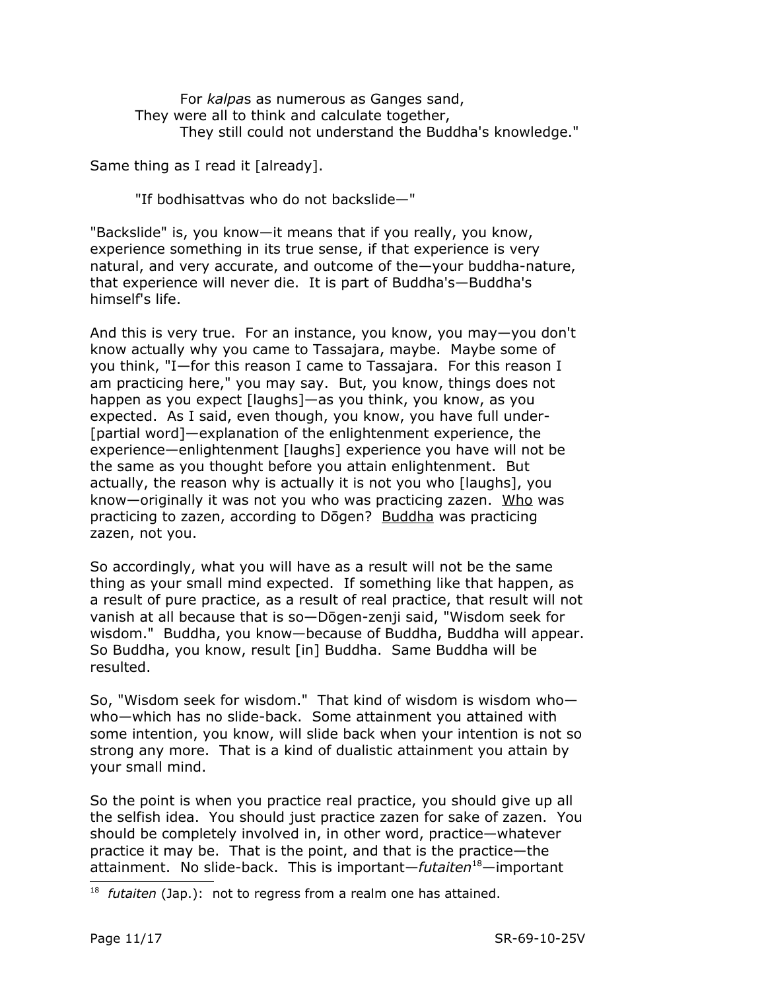For *kalpa*s as numerous as Ganges sand, They were all to think and calculate together, They still could not understand the Buddha's knowledge."

Same thing as I read it [already].

"If bodhisattvas who do not backslide—"

"Backslide" is, you know—it means that if you really, you know, experience something in its true sense, if that experience is very natural, and very accurate, and outcome of the—your buddha-nature, that experience will never die. It is part of Buddha's—Buddha's himself's life.

And this is very true. For an instance, you know, you may—you don't know actually why you came to Tassajara, maybe. Maybe some of you think, "I—for this reason I came to Tassajara. For this reason I am practicing here," you may say. But, you know, things does not happen as you expect [laughs]—as you think, you know, as you expected. As I said, even though, you know, you have full under- [partial word]—explanation of the enlightenment experience, the experience—enlightenment [laughs] experience you have will not be the same as you thought before you attain enlightenment. But actually, the reason why is actually it is not you who [laughs], you know—originally it was not you who was practicing zazen. Who was practicing to zazen, according to Dōgen? Buddha was practicing zazen, not you.

So accordingly, what you will have as a result will not be the same thing as your small mind expected. If something like that happen, as a result of pure practice, as a result of real practice, that result will not vanish at all because that is so—Dōgen-zenji said, "Wisdom seek for wisdom." Buddha, you know—because of Buddha, Buddha will appear. So Buddha, you know, result [in] Buddha. Same Buddha will be resulted.

So, "Wisdom seek for wisdom." That kind of wisdom is wisdom who who—which has no slide-back. Some attainment you attained with some intention, you know, will slide back when your intention is not so strong any more. That is a kind of dualistic attainment you attain by your small mind.

So the point is when you practice real practice, you should give up all the selfish idea. You should just practice zazen for sake of zazen. You should be completely involved in, in other word, practice—whatever practice it may be. That is the point, and that is the practice—the attainment. No slide-back. This is important—*futaiten*[18](#page-10-0)—important

<span id="page-10-0"></span><sup>18</sup> *futaiten* (Jap.): not to regress from a realm one has attained.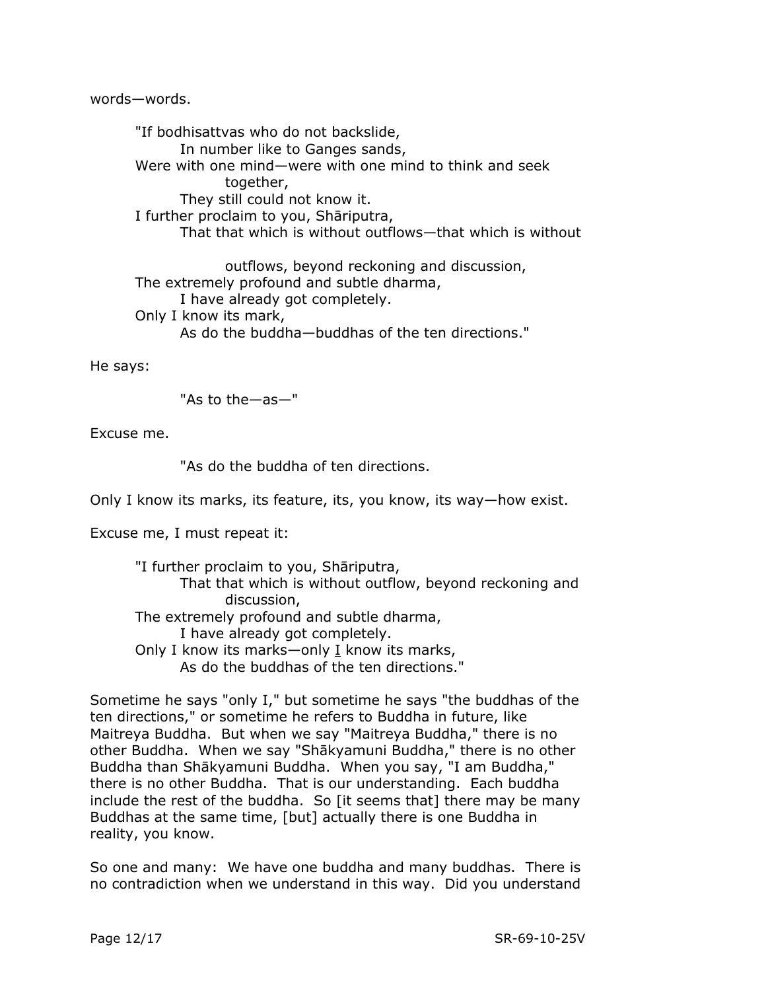words—words.

"If bodhisattvas who do not backslide, In number like to Ganges sands, Were with one mind—were with one mind to think and seek together, They still could not know it. I further proclaim to you, Shāriputra, That that which is without outflows—that which is without

outflows, beyond reckoning and discussion, The extremely profound and subtle dharma, I have already got completely. Only I know its mark, As do the buddha—buddhas of the ten directions."

He says:

"As to the—as—"

Excuse me.

"As do the buddha of ten directions.

Only I know its marks, its feature, its, you know, its way—how exist.

Excuse me, I must repeat it:

"I further proclaim to you, Shāriputra, That that which is without outflow, beyond reckoning and discussion, The extremely profound and subtle dharma, I have already got completely. Only I know its marks—only I know its marks, As do the buddhas of the ten directions."

Sometime he says "only I," but sometime he says "the buddhas of the ten directions," or sometime he refers to Buddha in future, like Maitreya Buddha. But when we say "Maitreya Buddha," there is no other Buddha. When we say "Shākyamuni Buddha," there is no other Buddha than Shākyamuni Buddha. When you say, "I am Buddha," there is no other Buddha. That is our understanding. Each buddha include the rest of the buddha. So [it seems that] there may be many Buddhas at the same time, [but] actually there is one Buddha in reality, you know.

So one and many: We have one buddha and many buddhas. There is no contradiction when we understand in this way. Did you understand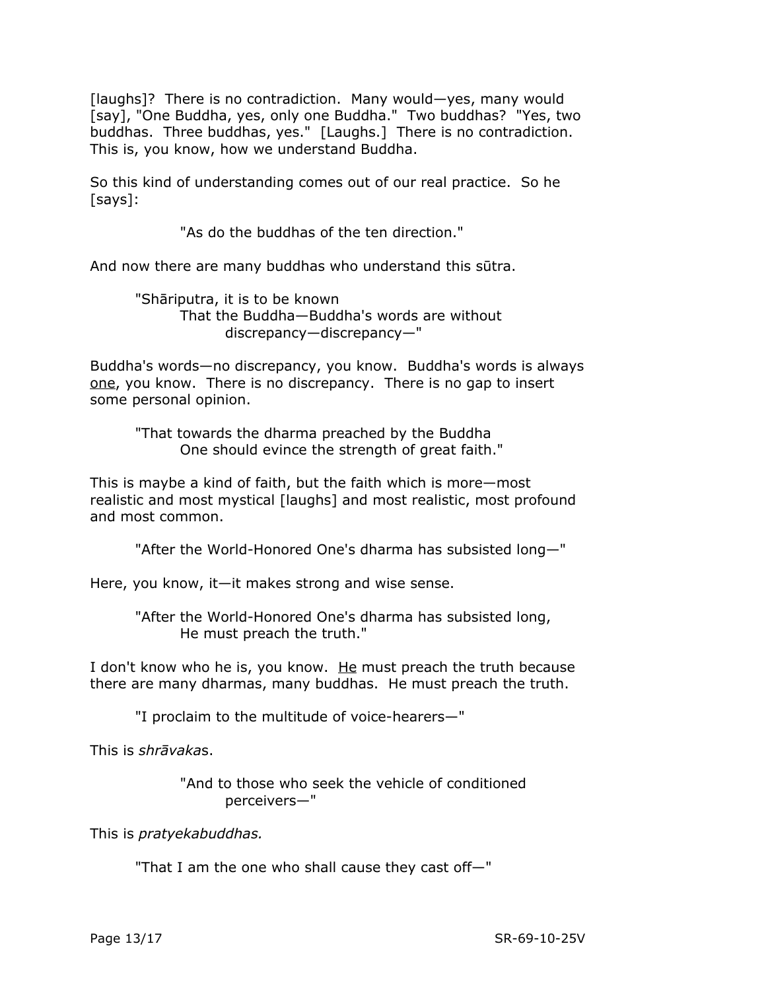[laughs]? There is no contradiction. Many would—yes, many would [say], "One Buddha, yes, only one Buddha." Two buddhas? "Yes, two buddhas. Three buddhas, yes." [Laughs.] There is no contradiction. This is, you know, how we understand Buddha.

So this kind of understanding comes out of our real practice. So he [says]:

"As do the buddhas of the ten direction."

And now there are many buddhas who understand this sūtra.

"Shāriputra, it is to be known That the Buddha—Buddha's words are without discrepancy—discrepancy—"

Buddha's words—no discrepancy, you know. Buddha's words is always one, you know. There is no discrepancy. There is no gap to insert some personal opinion.

"That towards the dharma preached by the Buddha One should evince the strength of great faith."

This is maybe a kind of faith, but the faith which is more—most realistic and most mystical [laughs] and most realistic, most profound and most common.

"After the World-Honored One's dharma has subsisted long—"

Here, you know, it—it makes strong and wise sense.

"After the World-Honored One's dharma has subsisted long, He must preach the truth."

I don't know who he is, you know. He must preach the truth because there are many dharmas, many buddhas. He must preach the truth.

"I proclaim to the multitude of voice-hearers—"

This is *shrāvaka*s.

"And to those who seek the vehicle of conditioned perceivers—"

This is *pratyekabuddhas.* 

"That I am the one who shall cause they cast off—"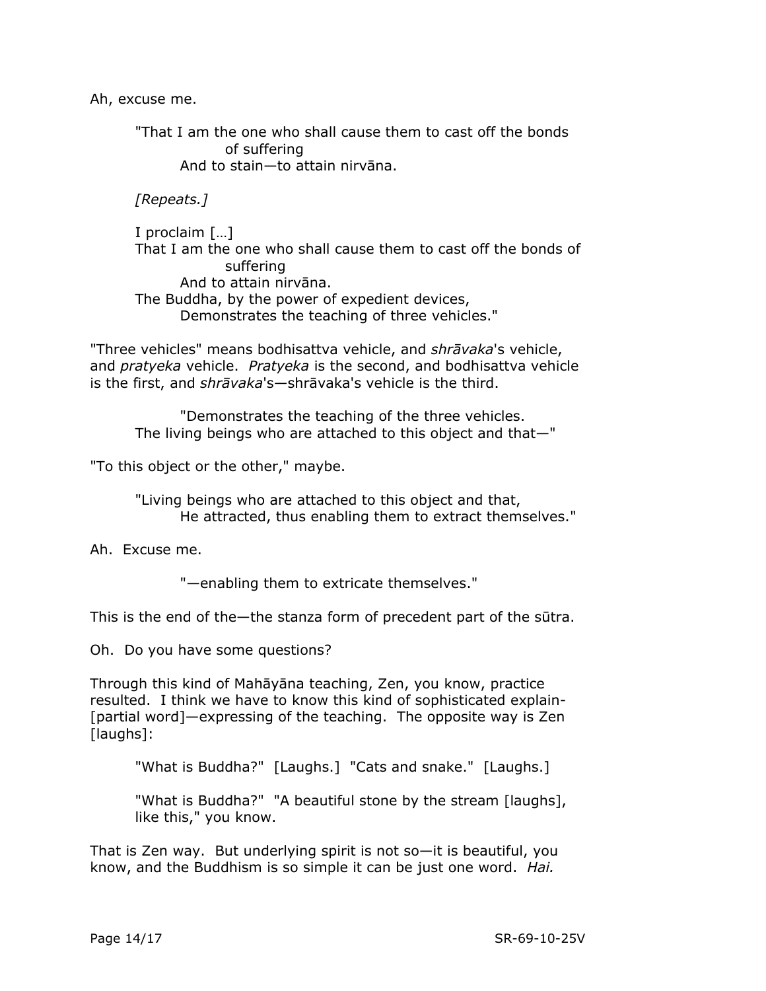Ah, excuse me.

"That I am the one who shall cause them to cast off the bonds of suffering And to stain—to attain nirvāna.

*[Repeats.]*

I proclaim […] That I am the one who shall cause them to cast off the bonds of suffering And to attain nirvāna. The Buddha, by the power of expedient devices, Demonstrates the teaching of three vehicles."

"Three vehicles" means bodhisattva vehicle, and *shrāvaka*'s vehicle, and *pratyeka* vehicle. *Pratyeka* is the second, and bodhisattva vehicle is the first, and *shrāvaka*'s—shrāvaka's vehicle is the third.

"Demonstrates the teaching of the three vehicles. The living beings who are attached to this object and that—"

"To this object or the other," maybe.

"Living beings who are attached to this object and that, He attracted, thus enabling them to extract themselves."

Ah. Excuse me.

"—enabling them to extricate themselves."

This is the end of the—the stanza form of precedent part of the sūtra.

Oh. Do you have some questions?

Through this kind of Mahāyāna teaching, Zen, you know, practice resulted. I think we have to know this kind of sophisticated explain- [partial word]—expressing of the teaching. The opposite way is Zen [laughs]:

"What is Buddha?" [Laughs.] "Cats and snake." [Laughs.]

"What is Buddha?" "A beautiful stone by the stream [laughs], like this," you know.

That is Zen way. But underlying spirit is not so—it is beautiful, you know, and the Buddhism is so simple it can be just one word. *Hai.*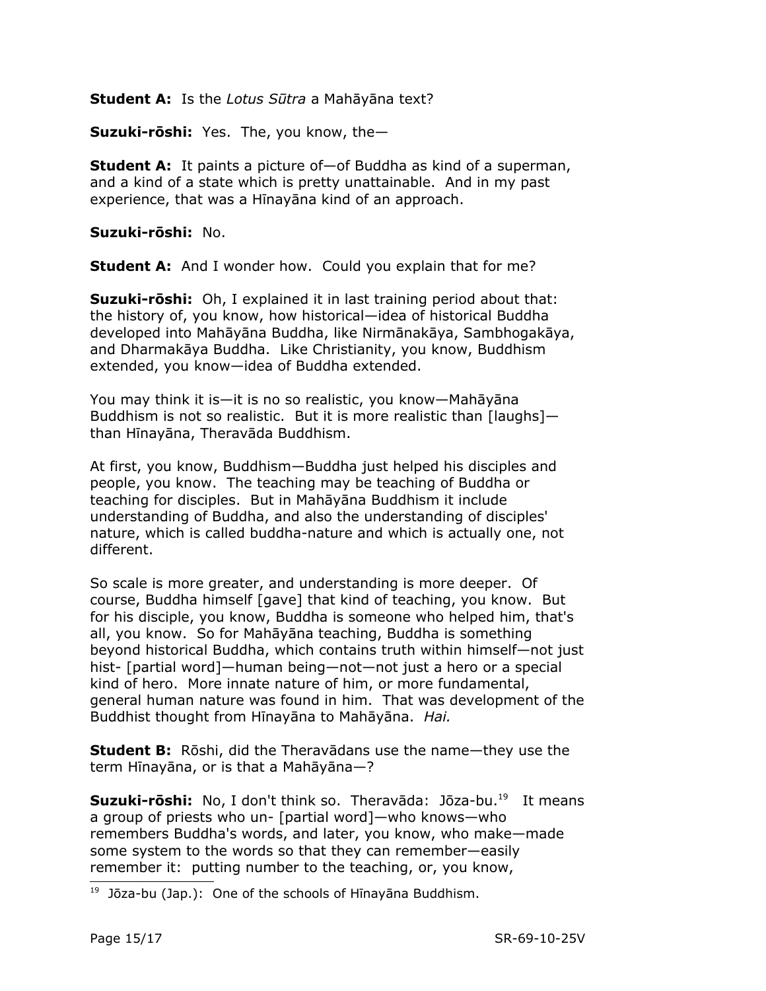## **Student A:** Is the *Lotus Sūtra* a Mahāyāna text?

**Suzuki-rōshi:** Yes. The, you know, the—

**Student A:** It paints a picture of—of Buddha as kind of a superman, and a kind of a state which is pretty unattainable. And in my past experience, that was a Hīnayāna kind of an approach.

#### **Suzuki-rōshi:** No.

**Student A:** And I wonder how. Could you explain that for me?

**Suzuki-rōshi:** Oh, I explained it in last training period about that: the history of, you know, how historical—idea of historical Buddha developed into Mahāyāna Buddha, like Nirmānakāya, Sambhogakāya, and Dharmakāya Buddha. Like Christianity, you know, Buddhism extended, you know—idea of Buddha extended.

You may think it is—it is no so realistic, you know—Mahāyāna Buddhism is not so realistic. But it is more realistic than [laughs] than Hīnayāna, Theravāda Buddhism.

At first, you know, Buddhism—Buddha just helped his disciples and people, you know. The teaching may be teaching of Buddha or teaching for disciples. But in Mahāyāna Buddhism it include understanding of Buddha, and also the understanding of disciples' nature, which is called buddha-nature and which is actually one, not different.

So scale is more greater, and understanding is more deeper. Of course, Buddha himself [gave] that kind of teaching, you know. But for his disciple, you know, Buddha is someone who helped him, that's all, you know. So for Mahāyāna teaching, Buddha is something beyond historical Buddha, which contains truth within himself—not just hist- [partial word]—human being—not—not just a hero or a special kind of hero. More innate nature of him, or more fundamental, general human nature was found in him. That was development of the Buddhist thought from Hīnayāna to Mahāyāna. *Hai.*

**Student B:** Rōshi, did the Theravādans use the name—they use the term Hīnayāna, or is that a Mahāyāna—?

**Suzuki-rōshi:** No, I don't think so. Theravāda: Jōza-bu. [19](#page-14-0) It means a group of priests who un- [partial word]—who knows—who remembers Buddha's words, and later, you know, who make—made some system to the words so that they can remember—easily remember it: putting number to the teaching, or, you know,

<span id="page-14-0"></span><sup>&</sup>lt;sup>19</sup> Jōza-bu (Jap.): One of the schools of Hīnayāna Buddhism.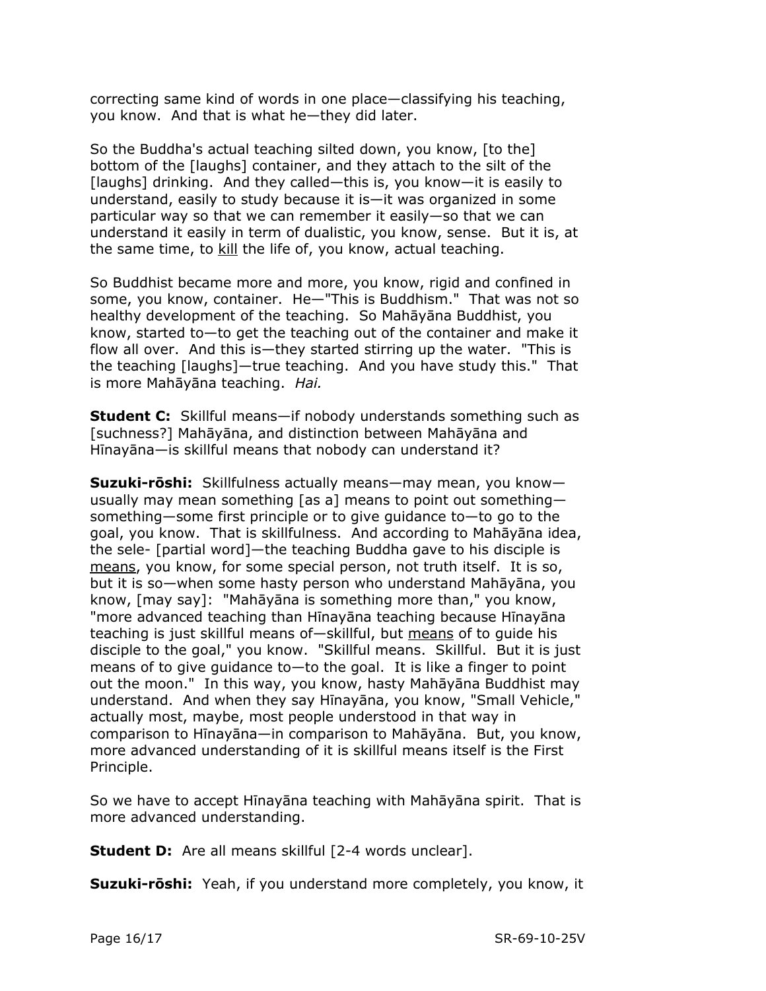correcting same kind of words in one place—classifying his teaching, you know. And that is what he—they did later.

So the Buddha's actual teaching silted down, you know, [to the] bottom of the [laughs] container, and they attach to the silt of the [laughs] drinking. And they called—this is, you know—it is easily to understand, easily to study because it is—it was organized in some particular way so that we can remember it easily—so that we can understand it easily in term of dualistic, you know, sense. But it is, at the same time, to kill the life of, you know, actual teaching.

So Buddhist became more and more, you know, rigid and confined in some, you know, container. He—"This is Buddhism." That was not so healthy development of the teaching. So Mahāyāna Buddhist, you know, started to—to get the teaching out of the container and make it flow all over. And this is—they started stirring up the water. "This is the teaching [laughs]—true teaching. And you have study this." That is more Mahāyāna teaching. *Hai.*

**Student C:** Skillful means—if nobody understands something such as [suchness?] Mahāyāna, and distinction between Mahāyāna and Hīnayāna—is skillful means that nobody can understand it?

**Suzuki-rōshi:** Skillfulness actually means—may mean, you know usually may mean something [as a] means to point out something something—some first principle or to give guidance to—to go to the goal, you know. That is skillfulness. And according to Mahāyāna idea, the sele- [partial word]—the teaching Buddha gave to his disciple is means, you know, for some special person, not truth itself. It is so, but it is so—when some hasty person who understand Mahāyāna, you know, [may say]: "Mahāyāna is something more than," you know, "more advanced teaching than Hīnayāna teaching because Hīnayāna teaching is just skillful means of—skillful, but means of to guide his disciple to the goal," you know. "Skillful means. Skillful. But it is just means of to give guidance to—to the goal. It is like a finger to point out the moon." In this way, you know, hasty Mahāyāna Buddhist may understand. And when they say Hīnayāna, you know, "Small Vehicle," actually most, maybe, most people understood in that way in comparison to Hīnayāna—in comparison to Mahāyāna. But, you know, more advanced understanding of it is skillful means itself is the First Principle.

So we have to accept Hīnayāna teaching with Mahāyāna spirit. That is more advanced understanding.

**Student D:** Are all means skillful [2-4 words unclear].

**Suzuki-rōshi:** Yeah, if you understand more completely, you know, it